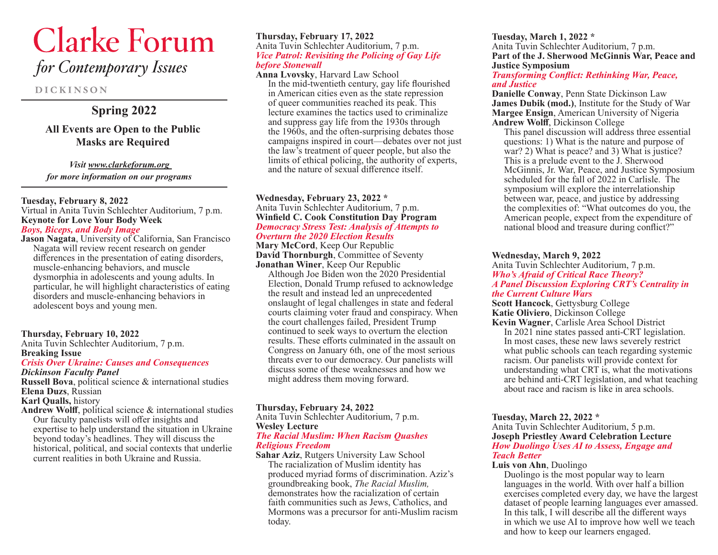# **Clarke Forum** for Contemporary Issues

**DICKINSON** 

# **Spring 2022**

# **All Events are Open to the Public Masks are Required**

#### *Visit www.clarkeforum.org*

*for more information on our programs*

#### **Tuesday, February 8, 2022**

Virtual in Anita Tuvin Schlechter Auditorium, 7 p.m. **Keynote for Love Your Body Week** *Boys, Biceps, and Body Image*

**Jason Nagata**, University of California, San Francisco Nagata will review recent research on gender differences in the presentation of eating disorders, muscle-enhancing behaviors, and muscle dysmorphia in adolescents and young adults. In particular, he will highlight characteristics of eating disorders and muscle-enhancing behaviors in adolescent boys and young men.

#### **Thursday, February 10, 2022**

Anita Tuvin Schlechter Auditorium, 7 p.m. **Breaking Issue**

#### *Crisis Over Ukraine: Causes and Consequences Dickinson Faculty Panel*

**Russell Bova**, political science & international studies **Elena Duzs**, Russian

**Karl Qualls,** history

**Andrew Wolff**, political science & international studies Our faculty panelists will offer insights and expertise to help understand the situation in Ukraine beyond today's headlines. They will discuss the historical, political, and social contexts that underlie current realities in both Ukraine and Russia.

#### **Thursday, February 17, 2022** Anita Tuvin Schlechter Auditorium, 7 p.m. *Vice Patrol: Revisiting the Policing of Gay Life before Stonewall*

**Anna Lvovsky**, Harvard Law School In the mid-twentieth century, gay life flourished in American cities even as the state repression of queer communities reached its peak. This lecture examines the tactics used to criminalize and suppress gay life from the 1930s through the  $1960s$ , and the often-surprising debates those campaigns inspired in court—debates over not just the law's treatment of queer people, but also the limits of ethical policing, the authority of experts, and the nature of sexual difference itself.

#### **Wednesday, February 23, 2022 \*** Anita Tuvin Schlechter Auditorium, 7 p.m. **Winfield C. Cook Constitution Day Program** *Democracy Stress Test: Analysis of Attempts to Overturn the 2020 Election Results*

**Mary McCord**, Keep Our Republic **David Thornburgh**, Committee of Seventy **Jonathan Winer**, Keep Our Republic

Although Joe Biden won the 2020 Presidential Election, Donald Trump refused to acknowledge the result and instead led an unprecedented onslaught of legal challenges in state and federal courts claiming voter fraud and conspiracy. When the court challenges failed, President Trump continued to seek ways to overturn the election results. These efforts culminated in the assault on Congress on January 6th, one of the most serious threats ever to our democracy. Our panelists will discuss some of these weaknesses and how we might address them moving forward.

#### **Thursday, February 24, 2022**

Anita Tuvin Schlechter Auditorium, 7 p.m. **Wesley Lecture**

#### *The Racial Muslim: When Racism Quashes Religious Freedom*

**Sahar Aziz**, Rutgers University Law School The racialization of Muslim identity has produced myriad forms of discrimination. Aziz's groundbreaking book, *The Racial Muslim,*  demonstrates how the racialization of certain faith communities such as Jews, Catholics, and Mormons was a precursor for anti-Muslim racism today.

**Tuesday, March 1, 2022 \*** Anita Tuvin Schlechter Auditorium, 7 p.m. **Part of the J. Sherwood McGinnis War, Peace and Justice Symposium** *Transforming Conflict: Rethinking War, Peace,* 

# *and Justice*

**Danielle Conway**, Penn State Dickinson Law **James Dubik (mod.)**, Institute for the Study of War **Margee Ensign**, American University of Nigeria **Andrew Wolff**, Dickinson College

This panel discussion will address three essential questions: 1) What is the nature and purpose of war? 2) What is peace? and 3) What is justice? This is a prelude event to the J. Sherwood McGinnis, Jr. War, Peace, and Justice Symposium scheduled for the fall of 2022 in Carlisle. The symposium will explore the interrelationship between war, peace, and justice by addressing the complexities of: "What outcomes do you, the American people, expect from the expenditure of national blood and treasure during conflict?"

#### **Wednesday, March 9, 2022**

Anita Tuvin Schlechter Auditorium, 7 p.m. *Who's Afraid of Critical Race Theory? A Panel Discussion Exploring CRT's Centrality in the Current Culture Wars*

**Scott Hancock**, Gettysburg College **Katie Oliviero**, Dickinson College

**Kevin Wagner**, Carlisle Area School District In 2021 nine states passed anti-CRT legislation. In most cases, these new laws severely restrict what public schools can teach regarding systemic racism. Our panelists will provide context for understanding what CRT is, what the motivations are behind anti-CRT legislation, and what teaching about race and racism is like in area schools.

#### **Tuesday, March 22, 2022 \***

Anita Tuvin Schlechter Auditorium, 5 p.m. **Joseph Priestley Award Celebration Lecture** *How Duolingo Uses AI to Assess, Engage and Teach Better*

#### **Luis von Ahn**, Duolingo

Duolingo is the most popular way to learn languages in the world. With over half a billion exercises completed every day, we have the largest dataset of people learning languages ever amassed. In this talk, I will describe all the different ways in which we use AI to improve how well we teach and how to keep our learners engaged.